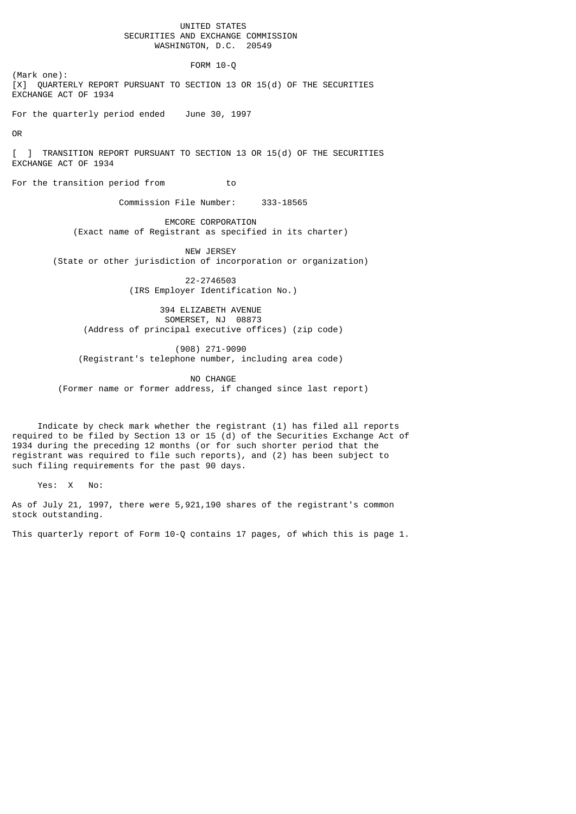## UNITED STATES SECURITIES AND EXCHANGE COMMISSION WASHINGTON, D.C. 20549

FORM 10-Q

(Mark one): [X] QUARTERLY REPORT PURSUANT TO SECTION 13 OR 15(d) OF THE SECURITIES EXCHANGE ACT OF 1934

For the quarterly period ended June 30, 1997

OR

[ ] TRANSITION REPORT PURSUANT TO SECTION 13 OR 15(d) OF THE SECURITIES EXCHANGE ACT OF 1934

For the transition period from to

Commission File Number: 333-18565

 EMCORE CORPORATION (Exact name of Registrant as specified in its charter)

 NEW JERSEY (State or other jurisdiction of incorporation or organization)

> 22-2746503 (IRS Employer Identification No.)

 394 ELIZABETH AVENUE SOMERSET, NJ 08873 (Address of principal executive offices) (zip code)

 (908) 271-9090 (Registrant's telephone number, including area code)

 NO CHANGE (Former name or former address, if changed since last report)

 Indicate by check mark whether the registrant (1) has filed all reports required to be filed by Section 13 or 15 (d) of the Securities Exchange Act of 1934 during the preceding 12 months (or for such shorter period that the registrant was required to file such reports), and (2) has been subject to such filing requirements for the past 90 days.

Yes: X No:

As of July 21, 1997, there were 5,921,190 shares of the registrant's common stock outstanding.

This quarterly report of Form 10-Q contains 17 pages, of which this is page 1.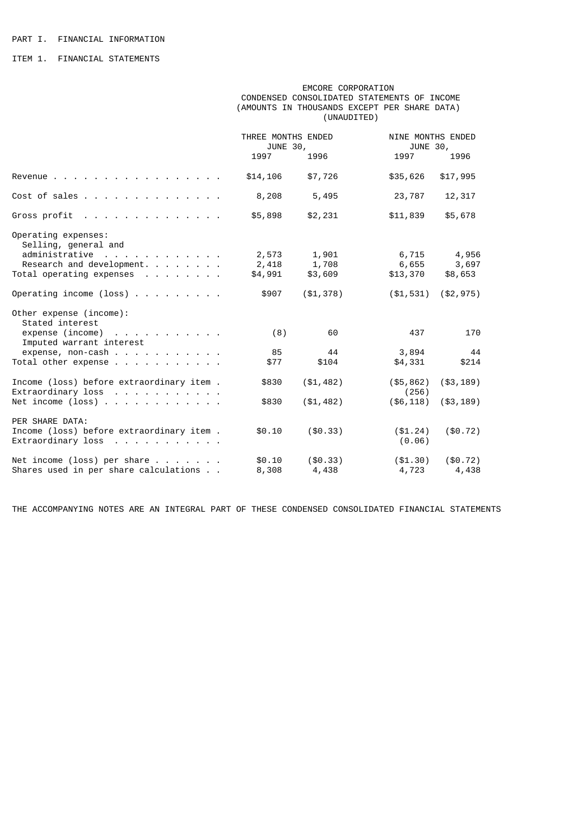ITEM 1. FINANCIAL STATEMENTS

 EMCORE CORPORATION CONDENSED CONSOLIDATED STATEMENTS OF INCOME (AMOUNTS IN THOUSANDS EXCEPT PER SHARE DATA) (UNAUDITED)

|                                                                  | THREE MONTHS ENDED<br>JUNE 30, |             |                       | NINE MONTHS ENDED<br>JUNE 30, |  |
|------------------------------------------------------------------|--------------------------------|-------------|-----------------------|-------------------------------|--|
|                                                                  | 1997                           | 1996        | 1997                  | 1996                          |  |
| Revenue                                                          | \$14,106                       | \$7,726     | \$35,626              | \$17,995                      |  |
| Cost of sales                                                    | 8,208                          | 5,495       | 23,787                | 12,317                        |  |
| Gross profit                                                     | \$5,898                        | \$2,231     | \$11,839              | \$5,678                       |  |
| Operating expenses:<br>Selling, general and                      |                                |             |                       |                               |  |
| administrative                                                   | 2,573                          | 1,901       | 6,715                 | 4,956                         |  |
| Research and development.                                        | 2,418                          | 1,708       | 6,655                 | 3,697                         |  |
| Total operating expenses                                         | \$4,991                        | \$3,609     | \$13,370              | \$8,653                       |  |
| Operating income (loss) $\ldots$                                 | \$907                          | (\$1,378)   | ( \$1, 531)           | (\$2,975)                     |  |
| Other expense (income):<br>Stated interest                       |                                |             |                       |                               |  |
| $expense (income)$<br>Imputed warrant interest                   | (8)                            | 60          | 437                   | 170                           |  |
| expense, non-cash                                                | 85                             | 44          | 3,894                 | 44                            |  |
| Total other expense                                              | \$77                           | \$104       | \$4,331               | \$214                         |  |
| Income (loss) before extraordinary item.<br>$Extraordinary loss$ | \$830                          | (\$1,482)   | $($ \$5,862)<br>(256) | ( \$3, 189)                   |  |
| Net income (loss)                                                | \$830                          | (\$1,482)   | $($ \$6,118)          | ( \$3, 189)                   |  |
| PER SHARE DATA:                                                  |                                |             |                       |                               |  |
| Income (loss) before extraordinary item.<br>Extraordinary loss   | \$0.10                         | $($ \$0.33) | ( \$1.24)<br>(0.06)   | $(\$0.72)$                    |  |
|                                                                  |                                |             |                       |                               |  |
| Net income (loss) per share $\ldots$                             | \$0.10                         | ( \$0.33)   | ( \$1.30)             | $(\$0.72)$                    |  |
| Shares used in per share calculations                            | 8,308                          | 4,438       | 4,723                 | 4,438                         |  |
|                                                                  |                                |             |                       |                               |  |

THE ACCOMPANYING NOTES ARE AN INTEGRAL PART OF THESE CONDENSED CONSOLIDATED FINANCIAL STATEMENTS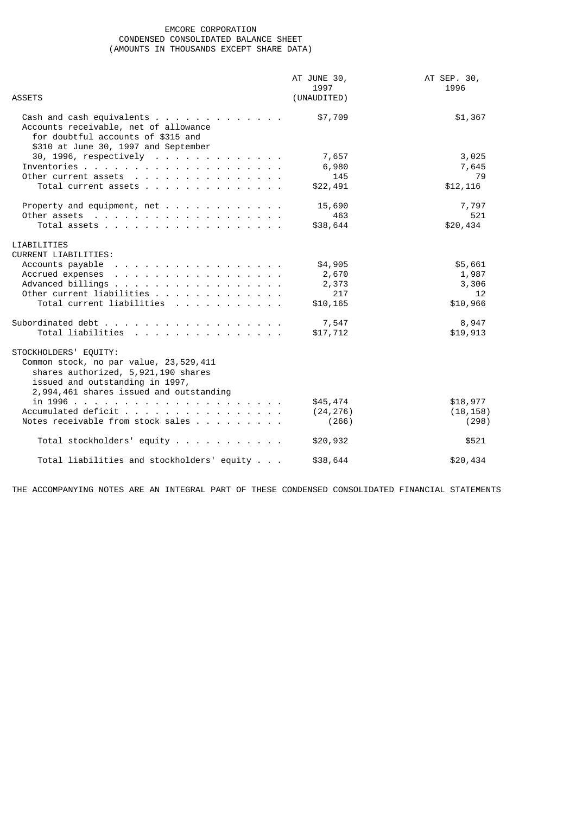# EMCORE CORPORATION CONDENSED CONSOLIDATED BALANCE SHEET (AMOUNTS IN THOUSANDS EXCEPT SHARE DATA)

|                                                                                                                                                                                                                                                    | AT JUNE 30,         | AT SEP. 30, |
|----------------------------------------------------------------------------------------------------------------------------------------------------------------------------------------------------------------------------------------------------|---------------------|-------------|
| <b>ASSETS</b>                                                                                                                                                                                                                                      | 1997<br>(UNAUDITED) | 1996        |
| Accounts receivable, net of allowance<br>for doubtful accounts of \$315 and<br>\$310 at June 30, 1997 and September                                                                                                                                | \$7,709             | \$1,367     |
| 30, 1996, respectively                                                                                                                                                                                                                             | 7,657               | 3,025       |
|                                                                                                                                                                                                                                                    | 6,980               | 7,645       |
| Other current assets $\cdots$ $\cdots$ $\cdots$ $\cdots$ $\cdots$ $\cdots$                                                                                                                                                                         | 145                 | 79          |
| Total current assets                                                                                                                                                                                                                               | \$22,491            | \$12, 116   |
|                                                                                                                                                                                                                                                    | 15,690              | 7,797       |
|                                                                                                                                                                                                                                                    | 463                 | 521         |
| Total assets                                                                                                                                                                                                                                       | \$38,644            | \$20,434    |
| LIABILITIES                                                                                                                                                                                                                                        |                     |             |
| <b>CURRENT LIABILITIES:</b>                                                                                                                                                                                                                        |                     |             |
| Accounts payable<br>the contract of the contract of the contract of the contract of the contract of the contract of the contract of the contract of the contract of the contract of the contract of the contract of the contract of the contract o | \$4,905             | \$5,661     |
| Accrued expenses                                                                                                                                                                                                                                   | 2,670               | 1,987       |
| Advanced billings                                                                                                                                                                                                                                  | 2,373               | 3,306       |
| Other current liabilities                                                                                                                                                                                                                          | 217                 | 12          |
| Total current liabilities                                                                                                                                                                                                                          | \$10,165            | \$10,966    |
| Subordinated debt                                                                                                                                                                                                                                  | 7,547               | 8,947       |
| Total liabilities                                                                                                                                                                                                                                  | \$17,712            | \$19,913    |
| STOCKHOLDERS' EQUITY:<br>Common stock, no par value, 23,529,411<br>shares authorized, 5,921,190 shares<br>issued and outstanding in 1997,<br>2,994,461 shares issued and outstanding                                                               |                     |             |
|                                                                                                                                                                                                                                                    | \$45,474            | \$18,977    |
| Accumulated deficit                                                                                                                                                                                                                                | (24, 276)           | (18, 158)   |
| Notes receivable from stock sales                                                                                                                                                                                                                  | (266)               | (298)       |
| Total stockholders' equity                                                                                                                                                                                                                         | \$20,932            | \$521       |
| Total liabilities and stockholders' equity                                                                                                                                                                                                         | \$38,644            | \$20,434    |

THE ACCOMPANYING NOTES ARE AN INTEGRAL PART OF THESE CONDENSED CONSOLIDATED FINANCIAL STATEMENTS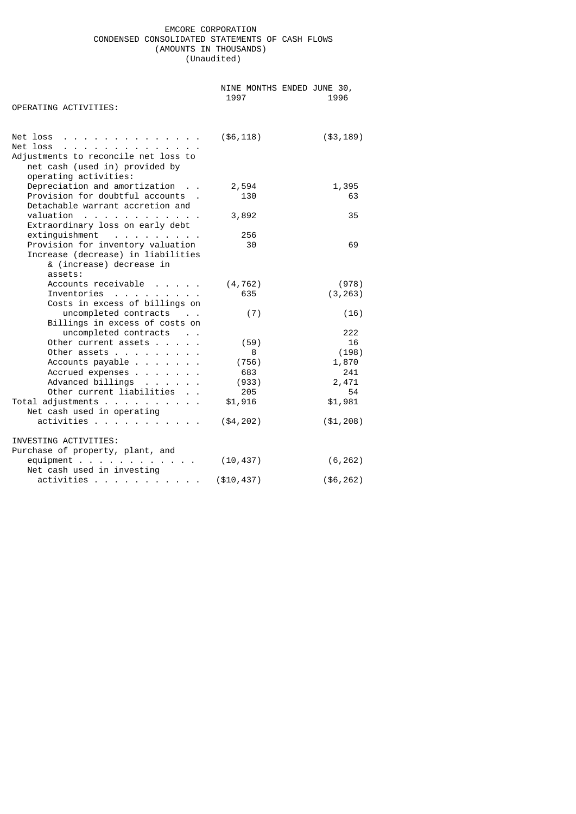# EMCORE CORPORATION CONDENSED CONSOLIDATED STATEMENTS OF CASH FLOWS (AMOUNTS IN THOUSANDS) (Unaudited)

|                                                                                                                                                                                                                   | NINE MONTHS ENDED JUNE 30,<br>1997 | 1996           |
|-------------------------------------------------------------------------------------------------------------------------------------------------------------------------------------------------------------------|------------------------------------|----------------|
| OPERATING ACTIVITIES:                                                                                                                                                                                             |                                    |                |
| Net loss $\ldots$ $\ldots$ $\ldots$ $\ldots$ $\ldots$ $\ldots$<br>Net loss $\ldots$ $\ldots$ $\ldots$ $\ldots$<br>Adjustments to reconcile net loss to<br>net cash (used in) provided by<br>operating activities: | $($ \$6,118)                       | ( \$3, 189)    |
| Depreciation and amortization                                                                                                                                                                                     | 2,594                              | 1,395          |
| Provision for doubtful accounts .<br>Detachable warrant accretion and                                                                                                                                             | 130                                | 63             |
| valuation<br>Extraordinary loss on early debt                                                                                                                                                                     | 3,892                              | 35             |
| extinguishment                                                                                                                                                                                                    | 256                                |                |
| Provision for inventory valuation<br>Increase (decrease) in liabilities<br>& (increase) decrease in<br>assets:                                                                                                    | 30                                 | 69             |
| Accounts receivable                                                                                                                                                                                               | (4, 762)                           | (978)          |
| Inventories<br>Costs in excess of billings on                                                                                                                                                                     | 635                                | (3, 263)       |
| uncompleted contracts<br>Billings in excess of costs on                                                                                                                                                           | (7)                                | (16)           |
| uncompleted contracts                                                                                                                                                                                             |                                    | 222            |
| Other current assets                                                                                                                                                                                              | (59)                               | 16             |
| Other assets<br>Accounts payable                                                                                                                                                                                  | 8<br>(756)                         | (198)<br>1,870 |
| Accrued expenses                                                                                                                                                                                                  | 683                                | 241            |
| Advanced billings                                                                                                                                                                                                 | (933)                              | 2,471          |
| Other current liabilities                                                                                                                                                                                         | 205                                | 54             |
| Total adjustments<br>Net cash used in operating                                                                                                                                                                   | \$1,916                            | \$1,981        |
| activities                                                                                                                                                                                                        | (\$4, 202)                         | (\$1, 208)     |
| INVESTING ACTIVITIES:<br>Purchase of property, plant, and                                                                                                                                                         |                                    |                |
| $equipment$<br>Net cash used in investing                                                                                                                                                                         | (10, 437)                          | (6, 262)       |
| activities                                                                                                                                                                                                        | (\$10, 437)                        | (\$6, 262)     |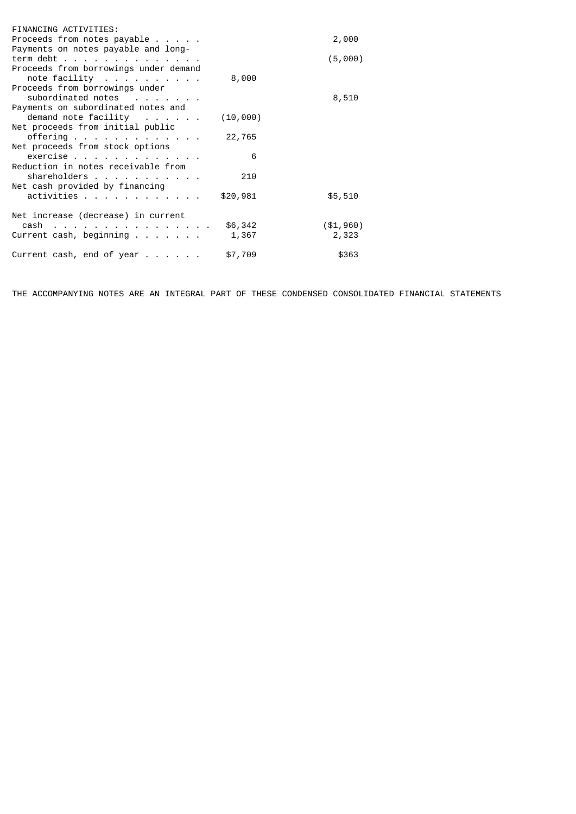| FINANCING ACTIVITIES:                     |          |             |
|-------------------------------------------|----------|-------------|
| Proceeds from notes payable $\ldots$      |          | 2,000       |
| Payments on notes payable and long-       |          |             |
| term debt                                 |          | (5,000)     |
| Proceeds from borrowings under demand     |          |             |
| note facility $\ldots$                    | 8,000    |             |
| Proceeds from borrowings under            |          |             |
| subordinated notes                        |          | 8,510       |
| Payments on subordinated notes and        |          |             |
| demand note facility                      | (10,000) |             |
| Net proceeds from initial public          |          |             |
| offerring                                 | 22,765   |             |
| Net proceeds from stock options           |          |             |
| exercise                                  | 6        |             |
| Reduction in notes receivable from        |          |             |
| shareholders                              | 210      |             |
| Net cash provided by financing            |          |             |
| activities                                | \$20,981 | \$5,510     |
|                                           |          |             |
| Net increase (decrease) in current        |          |             |
| cash in the contract of the contract of   | \$6,342  | ( \$1, 960) |
| Current cash, beginning $\ldots$          | 1,367    | 2,323       |
|                                           |          |             |
| Current cash, end of year $\dots$ $\dots$ | \$7,709  | \$363       |
|                                           |          |             |

THE ACCOMPANYING NOTES ARE AN INTEGRAL PART OF THESE CONDENSED CONSOLIDATED FINANCIAL STATEMENTS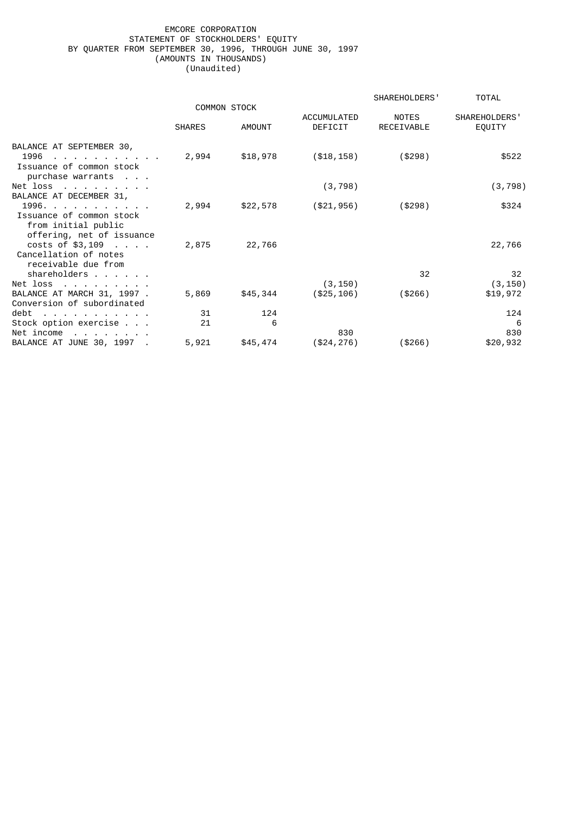# EMCORE CORPORATION STATEMENT OF STOCKHOLDERS' EQUITY BY QUARTER FROM SEPTEMBER 30, 1996, THROUGH JUNE 30, 1997 (AMOUNTS IN THOUSANDS) (Unaudited)

|                                                                                                                               |                     |               |                        | SHAREHOLDERS'              | <b>TOTAL</b>            |
|-------------------------------------------------------------------------------------------------------------------------------|---------------------|---------------|------------------------|----------------------------|-------------------------|
|                                                                                                                               | <b>COMMON STOCK</b> |               |                        |                            |                         |
|                                                                                                                               | <b>SHARES</b>       | <b>AMOUNT</b> | ACCUMULATED<br>DEFICIT | <b>NOTES</b><br>RECEIVABLE | SHAREHOLDERS'<br>EQUITY |
| BALANCE AT SEPTEMBER 30,<br>1996<br>the contract of the contract of the con-<br>Issuance of common stock<br>purchase warrants | 2,994               | \$18,978      | ( \$18, 158)           | (\$298)                    | \$522                   |
| Net loss $\ldots$ $\ldots$ $\ldots$ .                                                                                         |                     |               | (3, 798)               |                            | (3, 798)                |
| BALANCE AT DECEMBER 31,                                                                                                       |                     |               |                        |                            |                         |
| 1996.<br>Issuance of common stock<br>from initial public<br>offering, net of issuance                                         | 2,994               | \$22,578      | (\$21,956)             | ( \$298)                   | \$324                   |
| $costs$ of \$3,109 $\ldots$ .<br>Cancellation of notes<br>receivable due from<br>shareholders                                 | 2,875               | 22,766        |                        | 32                         | 22,766<br>32            |
| Net loss $\ldots$ $\ldots$ $\ldots$ .                                                                                         |                     |               | (3, 150)               |                            | (3, 150)                |
| BALANCE AT MARCH 31, 1997 .<br>Conversion of subordinated                                                                     | 5,869               | \$45,344      | ( \$25, 106)           | (\$266)                    | \$19,972                |
| debt<br>the contract of the contract of the con-                                                                              | 31                  | 124           |                        |                            | 124                     |
| Stock option exercise                                                                                                         | 21                  | 6             |                        |                            | 6                       |
| Net income<br>the contract of the contract of                                                                                 |                     |               | 830                    |                            | 830                     |
| BALANCE AT JUNE 30, 1997                                                                                                      | 5,921               | \$45,474      | (\$24, 276)            | (\$266)                    | \$20,932                |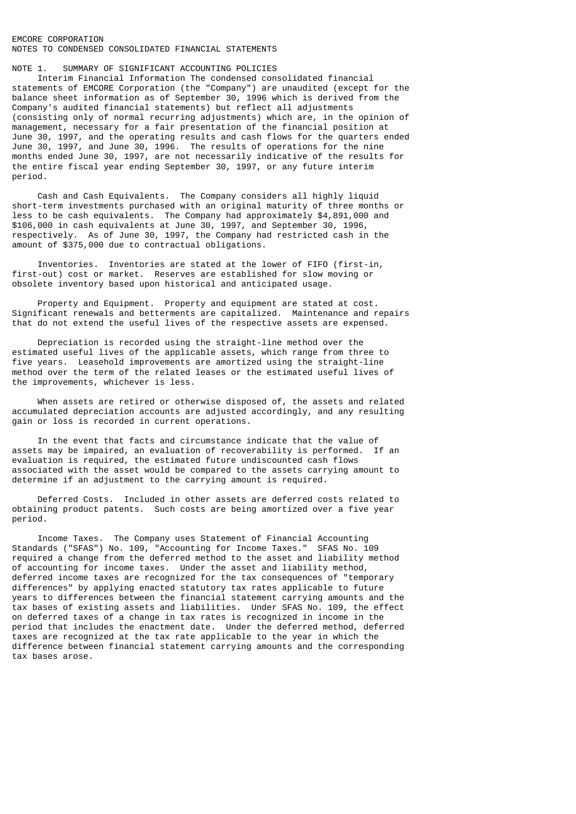# EMCORE CORPORATION NOTES TO CONDENSED CONSOLIDATED FINANCIAL STATEMENTS

## NOTE 1. SUMMARY OF SIGNIFICANT ACCOUNTING POLICIES

 Interim Financial Information The condensed consolidated financial statements of EMCORE Corporation (the "Company") are unaudited (except for the balance sheet information as of September 30, 1996 which is derived from the Company's audited financial statements) but reflect all adjustments (consisting only of normal recurring adjustments) which are, in the opinion of management, necessary for a fair presentation of the financial position at June 30, 1997, and the operating results and cash flows for the quarters ended June 30, 1997, and June 30, 1996. The results of operations for the nine months ended June 30, 1997, are not necessarily indicative of the results for the entire fiscal year ending September 30, 1997, or any future interim period.

 Cash and Cash Equivalents. The Company considers all highly liquid short-term investments purchased with an original maturity of three months or less to be cash equivalents. The Company had approximately \$4,891,000 and \$106,000 in cash equivalents at June 30, 1997, and September 30, 1996, respectively. As of June 30, 1997, the Company had restricted cash in the amount of \$375,000 due to contractual obligations.

 Inventories. Inventories are stated at the lower of FIFO (first-in, first-out) cost or market. Reserves are established for slow moving or obsolete inventory based upon historical and anticipated usage.

 Property and Equipment. Property and equipment are stated at cost. Significant renewals and betterments are capitalized. Maintenance and repairs that do not extend the useful lives of the respective assets are expensed.

 Depreciation is recorded using the straight-line method over the estimated useful lives of the applicable assets, which range from three to five years. Leasehold improvements are amortized using the straight-line method over the term of the related leases or the estimated useful lives of the improvements, whichever is less.

 When assets are retired or otherwise disposed of, the assets and related accumulated depreciation accounts are adjusted accordingly, and any resulting gain or loss is recorded in current operations.

 In the event that facts and circumstance indicate that the value of assets may be impaired, an evaluation of recoverability is performed. If an evaluation is required, the estimated future undiscounted cash flows associated with the asset would be compared to the assets carrying amount to determine if an adjustment to the carrying amount is required.

 Deferred Costs. Included in other assets are deferred costs related to obtaining product patents. Such costs are being amortized over a five year period.

 Income Taxes. The Company uses Statement of Financial Accounting Standards ("SFAS") No. 109, "Accounting for Income Taxes." SFAS No. 109 required a change from the deferred method to the asset and liability method of accounting for income taxes. Under the asset and liability method, deferred income taxes are recognized for the tax consequences of "temporary differences" by applying enacted statutory tax rates applicable to future years to differences between the financial statement carrying amounts and the tax bases of existing assets and liabilities. Under SFAS No. 109, the effect on deferred taxes of a change in tax rates is recognized in income in the period that includes the enactment date. Under the deferred method, deferred taxes are recognized at the tax rate applicable to the year in which the difference between financial statement carrying amounts and the corresponding tax bases arose.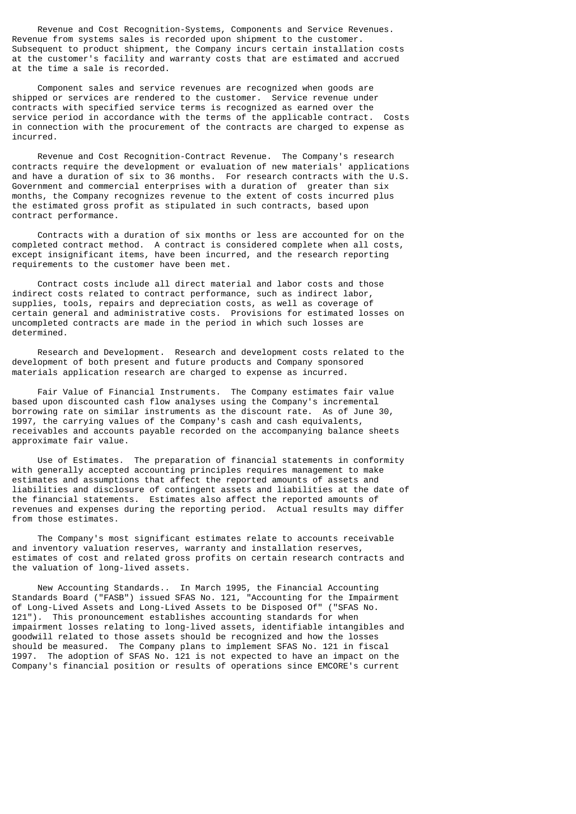Revenue and Cost Recognition-Systems, Components and Service Revenues. Revenue from systems sales is recorded upon shipment to the customer. Subsequent to product shipment, the Company incurs certain installation costs at the customer's facility and warranty costs that are estimated and accrued at the time a sale is recorded.

 Component sales and service revenues are recognized when goods are shipped or services are rendered to the customer. Service revenue under contracts with specified service terms is recognized as earned over the service period in accordance with the terms of the applicable contract. Costs in connection with the procurement of the contracts are charged to expense as incurred.

 Revenue and Cost Recognition-Contract Revenue. The Company's research contracts require the development or evaluation of new materials' applications and have a duration of six to 36 months. For research contracts with the U.S. Government and commercial enterprises with a duration of greater than six months, the Company recognizes revenue to the extent of costs incurred plus the estimated gross profit as stipulated in such contracts, based upon contract performance.

 Contracts with a duration of six months or less are accounted for on the completed contract method. A contract is considered complete when all costs, except insignificant items, have been incurred, and the research reporting requirements to the customer have been met.

 Contract costs include all direct material and labor costs and those indirect costs related to contract performance, such as indirect labor, supplies, tools, repairs and depreciation costs, as well as coverage of certain general and administrative costs. Provisions for estimated losses on uncompleted contracts are made in the period in which such losses are determined.

 Research and Development. Research and development costs related to the development of both present and future products and Company sponsored materials application research are charged to expense as incurred.

 Fair Value of Financial Instruments. The Company estimates fair value based upon discounted cash flow analyses using the Company's incremental borrowing rate on similar instruments as the discount rate. As of June 30, 1997, the carrying values of the Company's cash and cash equivalents, receivables and accounts payable recorded on the accompanying balance sheets approximate fair value.

 Use of Estimates. The preparation of financial statements in conformity with generally accepted accounting principles requires management to make estimates and assumptions that affect the reported amounts of assets and liabilities and disclosure of contingent assets and liabilities at the date of the financial statements. Estimates also affect the reported amounts of revenues and expenses during the reporting period. Actual results may differ from those estimates.

 The Company's most significant estimates relate to accounts receivable and inventory valuation reserves, warranty and installation reserves, estimates of cost and related gross profits on certain research contracts and the valuation of long-lived assets.

 New Accounting Standards.. In March 1995, the Financial Accounting Standards Board ("FASB") issued SFAS No. 121, "Accounting for the Impairment of Long-Lived Assets and Long-Lived Assets to be Disposed Of" ("SFAS No. 121"). This pronouncement establishes accounting standards for when impairment losses relating to long-lived assets, identifiable intangibles and goodwill related to those assets should be recognized and how the losses should be measured. The Company plans to implement SFAS No. 121 in fiscal 1997. The adoption of SFAS No. 121 is not expected to have an impact on the Company's financial position or results of operations since EMCORE's current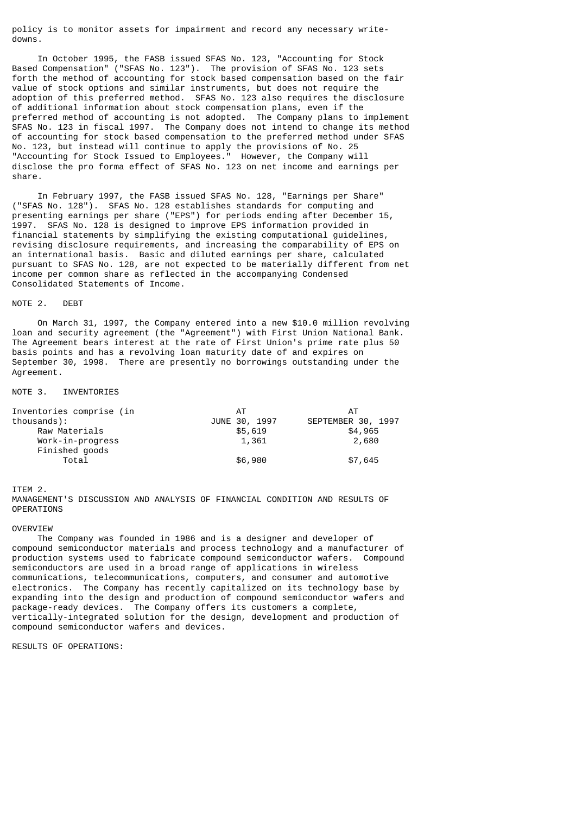policy is to monitor assets for impairment and record any necessary writedowns.

 In October 1995, the FASB issued SFAS No. 123, "Accounting for Stock Based Compensation" ("SFAS No. 123"). The provision of SFAS No. 123 sets forth the method of accounting for stock based compensation based on the fair value of stock options and similar instruments, but does not require the adoption of this preferred method. SFAS No. 123 also requires the disclosure of additional information about stock compensation plans, even if the preferred method of accounting is not adopted. The Company plans to implement SFAS No. 123 in fiscal 1997. The Company does not intend to change its method of accounting for stock based compensation to the preferred method under SFAS No. 123, but instead will continue to apply the provisions of No. 25 "Accounting for Stock Issued to Employees." However, the Company will disclose the pro forma effect of SFAS No. 123 on net income and earnings per share.

 In February 1997, the FASB issued SFAS No. 128, "Earnings per Share" ("SFAS No. 128"). SFAS No. 128 establishes standards for computing and presenting earnings per share ("EPS") for periods ending after December 15, 1997. SFAS No. 128 is designed to improve EPS information provided in financial statements by simplifying the existing computational guidelines, revising disclosure requirements, and increasing the comparability of EPS on an international basis. Basic and diluted earnings per share, calculated pursuant to SFAS No. 128, are not expected to be materially different from net income per common share as reflected in the accompanying Condensed Consolidated Statements of Income.

## NOTE 2. DEBT

 On March 31, 1997, the Company entered into a new \$10.0 million revolving loan and security agreement (the "Agreement") with First Union National Bank. The Agreement bears interest at the rate of First Union's prime rate plus 50 basis points and has a revolving loan maturity date of and expires on September 30, 1998. There are presently no borrowings outstanding under the Agreement.

## NOTE 3. INVENTORIES

| Inventories comprise (in | AT            | AТ                 |
|--------------------------|---------------|--------------------|
| thousands):              | JUNE 30, 1997 | SEPTEMBER 30, 1997 |
| Raw Materials            | \$5,619       | \$4,965            |
| Work-in-progress         | 1,361         | 2,680              |
| Finished goods           |               |                    |
| Total                    | \$6,980       | \$7,645            |

ITEM 2.

MANAGEMENT'S DISCUSSION AND ANALYSIS OF FINANCIAL CONDITION AND RESULTS OF OPERATIONS

## OVERVIEW

 The Company was founded in 1986 and is a designer and developer of compound semiconductor materials and process technology and a manufacturer of production systems used to fabricate compound semiconductor wafers. Compound semiconductors are used in a broad range of applications in wireless communications, telecommunications, computers, and consumer and automotive electronics. The Company has recently capitalized on its technology base by expanding into the design and production of compound semiconductor wafers and package-ready devices. The Company offers its customers a complete, vertically-integrated solution for the design, development and production of compound semiconductor wafers and devices.

RESULTS OF OPERATIONS: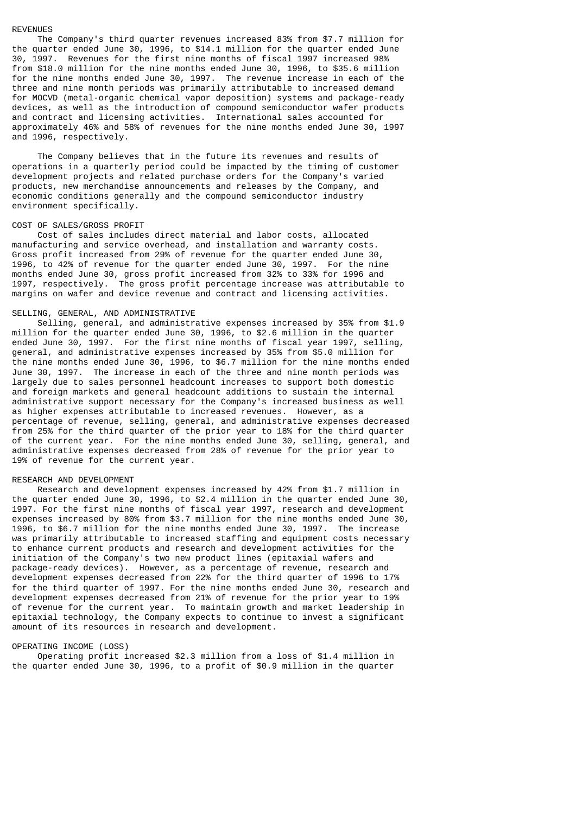# REVENUES

 The Company's third quarter revenues increased 83% from \$7.7 million for the quarter ended June 30, 1996, to \$14.1 million for the quarter ended June 30, 1997. Revenues for the first nine months of fiscal 1997 increased 98% from \$18.0 million for the nine months ended June 30, 1996, to \$35.6 million for the nine months ended June 30, 1997. The revenue increase in each of the three and nine month periods was primarily attributable to increased demand for MOCVD (metal-organic chemical vapor deposition) systems and package-ready devices, as well as the introduction of compound semiconductor wafer products and contract and licensing activities. International sales accounted for approximately 46% and 58% of revenues for the nine months ended June 30, 1997 and 1996, respectively.

 The Company believes that in the future its revenues and results of operations in a quarterly period could be impacted by the timing of customer development projects and related purchase orders for the Company's varied products, new merchandise announcements and releases by the Company, and economic conditions generally and the compound semiconductor industry environment specifically.

#### COST OF SALES/GROSS PROFIT

 Cost of sales includes direct material and labor costs, allocated manufacturing and service overhead, and installation and warranty costs. Gross profit increased from 29% of revenue for the quarter ended June 30, 1996, to 42% of revenue for the quarter ended June 30, 1997. For the nine months ended June 30, gross profit increased from 32% to 33% for 1996 and 1997, respectively. The gross profit percentage increase was attributable to margins on wafer and device revenue and contract and licensing activities.

## SELLING, GENERAL, AND ADMINISTRATIVE

 Selling, general, and administrative expenses increased by 35% from \$1.9 million for the quarter ended June 30, 1996, to \$2.6 million in the quarter ended June 30, 1997. For the first nine months of fiscal year 1997, selling, general, and administrative expenses increased by 35% from \$5.0 million for the nine months ended June 30, 1996, to \$6.7 million for the nine months ended June 30, 1997. The increase in each of the three and nine month periods was largely due to sales personnel headcount increases to support both domestic and foreign markets and general headcount additions to sustain the internal administrative support necessary for the Company's increased business as well as higher expenses attributable to increased revenues. However, as a percentage of revenue, selling, general, and administrative expenses decreased from 25% for the third quarter of the prior year to 18% for the third quarter of the current year. For the nine months ended June 30, selling, general, and administrative expenses decreased from 28% of revenue for the prior year to 19% of revenue for the current year.

## RESEARCH AND DEVELOPMENT

 Research and development expenses increased by 42% from \$1.7 million in the quarter ended June 30, 1996, to \$2.4 million in the quarter ended June 30, 1997. For the first nine months of fiscal year 1997, research and development expenses increased by 80% from \$3.7 million for the nine months ended June 30, 1996, to \$6.7 million for the nine months ended June 30, 1997. The increase was primarily attributable to increased staffing and equipment costs necessary to enhance current products and research and development activities for the initiation of the Company's two new product lines (epitaxial wafers and package-ready devices). However, as a percentage of revenue, research and development expenses decreased from 22% for the third quarter of 1996 to 17% for the third quarter of 1997. For the nine months ended June 30, research and development expenses decreased from 21% of revenue for the prior year to 19% of revenue for the current year. To maintain growth and market leadership in epitaxial technology, the Company expects to continue to invest a significant amount of its resources in research and development.

#### OPERATING INCOME (LOSS)

 Operating profit increased \$2.3 million from a loss of \$1.4 million in the quarter ended June 30, 1996, to a profit of \$0.9 million in the quarter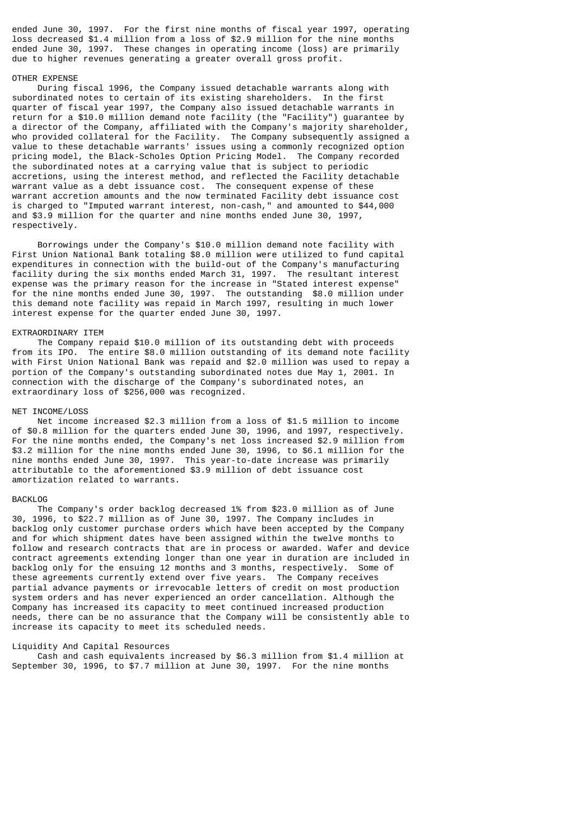ended June 30, 1997. For the first nine months of fiscal year 1997, operating loss decreased \$1.4 million from a loss of \$2.9 million for the nine months ended June 30, 1997. These changes in operating income (loss) are primarily due to higher revenues generating a greater overall gross profit.

## OTHER EXPENSE

 During fiscal 1996, the Company issued detachable warrants along with subordinated notes to certain of its existing shareholders. In the first quarter of fiscal year 1997, the Company also issued detachable warrants in return for a \$10.0 million demand note facility (the "Facility") guarantee by a director of the Company, affiliated with the Company's majority shareholder, who provided collateral for the Facility. The Company subsequently assigned a value to these detachable warrants' issues using a commonly recognized option pricing model, the Black-Scholes Option Pricing Model. The Company recorded the subordinated notes at a carrying value that is subject to periodic accretions, using the interest method, and reflected the Facility detachable warrant value as a debt issuance cost. The consequent expense of these warrant accretion amounts and the now terminated Facility debt issuance cost is charged to "Imputed warrant interest, non-cash," and amounted to \$44,000 and \$3.9 million for the quarter and nine months ended June 30, 1997, respectively.

 Borrowings under the Company's \$10.0 million demand note facility with First Union National Bank totaling \$8.0 million were utilized to fund capital expenditures in connection with the build-out of the Company's manufacturing facility during the six months ended March 31, 1997. The resultant interest expense was the primary reason for the increase in "Stated interest expense" for the nine months ended June 30, 1997. The outstanding \$8.0 million under this demand note facility was repaid in March 1997, resulting in much lower interest expense for the quarter ended June 30, 1997.

#### EXTRAORDINARY ITEM

 The Company repaid \$10.0 million of its outstanding debt with proceeds from its IPO. The entire \$8.0 million outstanding of its demand note facility with First Union National Bank was repaid and \$2.0 million was used to repay a portion of the Company's outstanding subordinated notes due May 1, 2001. In connection with the discharge of the Company's subordinated notes, an extraordinary loss of \$256,000 was recognized.

#### NET INCOME/LOSS

 Net income increased \$2.3 million from a loss of \$1.5 million to income of \$0.8 million for the quarters ended June 30, 1996, and 1997, respectively. For the nine months ended, the Company's net loss increased \$2.9 million from \$3.2 million for the nine months ended June 30, 1996, to \$6.1 million for the nine months ended June 30, 1997. This year-to-date increase was primarily attributable to the aforementioned \$3.9 million of debt issuance cost amortization related to warrants.

#### **BACKLOG**

 The Company's order backlog decreased 1% from \$23.0 million as of June 30, 1996, to \$22.7 million as of June 30, 1997. The Company includes in backlog only customer purchase orders which have been accepted by the Company and for which shipment dates have been assigned within the twelve months to follow and research contracts that are in process or awarded. Wafer and device contract agreements extending longer than one year in duration are included in backlog only for the ensuing 12 months and 3 months, respectively. Some of these agreements currently extend over five years. The Company receives partial advance payments or irrevocable letters of credit on most production system orders and has never experienced an order cancellation. Although the Company has increased its capacity to meet continued increased production needs, there can be no assurance that the Company will be consistently able to increase its capacity to meet its scheduled needs.

## Liquidity And Capital Resources

 Cash and cash equivalents increased by \$6.3 million from \$1.4 million at September 30, 1996, to \$7.7 million at June 30, 1997. For the nine months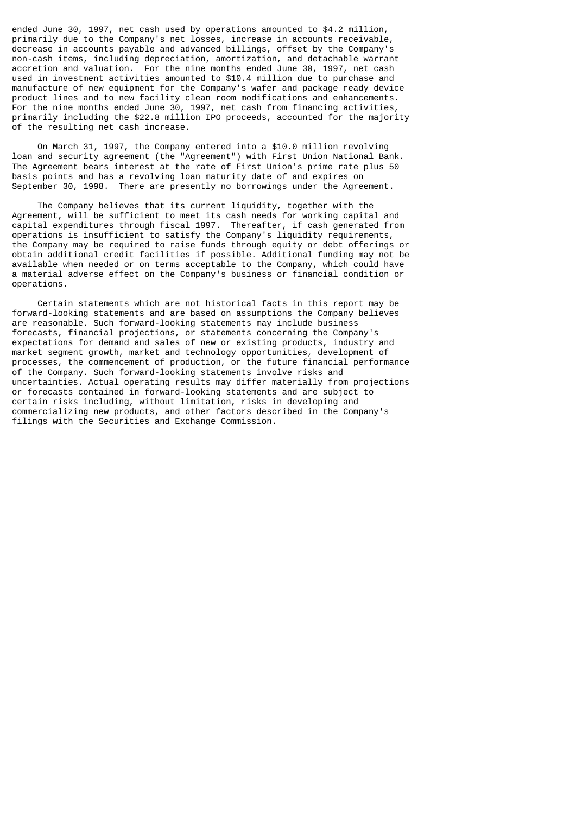ended June 30, 1997, net cash used by operations amounted to \$4.2 million, primarily due to the Company's net losses, increase in accounts receivable, decrease in accounts payable and advanced billings, offset by the Company's non-cash items, including depreciation, amortization, and detachable warrant accretion and valuation. For the nine months ended June 30, 1997, net cash used in investment activities amounted to \$10.4 million due to purchase and manufacture of new equipment for the Company's wafer and package ready device product lines and to new facility clean room modifications and enhancements. For the nine months ended June 30, 1997, net cash from financing activities, primarily including the \$22.8 million IPO proceeds, accounted for the majority of the resulting net cash increase.

 On March 31, 1997, the Company entered into a \$10.0 million revolving loan and security agreement (the "Agreement") with First Union National Bank. The Agreement bears interest at the rate of First Union's prime rate plus 50 basis points and has a revolving loan maturity date of and expires on September 30, 1998. There are presently no borrowings under the Agreement.

 The Company believes that its current liquidity, together with the Agreement, will be sufficient to meet its cash needs for working capital and capital expenditures through fiscal 1997. Thereafter, if cash generated from operations is insufficient to satisfy the Company's liquidity requirements, the Company may be required to raise funds through equity or debt offerings or obtain additional credit facilities if possible. Additional funding may not be available when needed or on terms acceptable to the Company, which could have a material adverse effect on the Company's business or financial condition or operations.

 Certain statements which are not historical facts in this report may be forward-looking statements and are based on assumptions the Company believes are reasonable. Such forward-looking statements may include business forecasts, financial projections, or statements concerning the Company's expectations for demand and sales of new or existing products, industry and market segment growth, market and technology opportunities, development of processes, the commencement of production, or the future financial performance of the Company. Such forward-looking statements involve risks and uncertainties. Actual operating results may differ materially from projections or forecasts contained in forward-looking statements and are subject to certain risks including, without limitation, risks in developing and commercializing new products, and other factors described in the Company's filings with the Securities and Exchange Commission.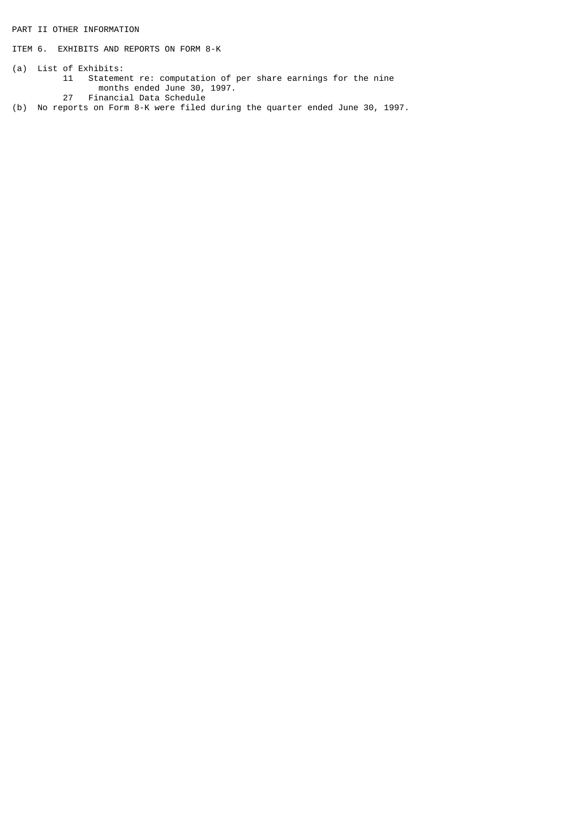PART II OTHER INFORMATION

ITEM 6. EXHIBITS AND REPORTS ON FORM 8-K

- (a) List of Exhibits: 11 Statement re: computation of per share earnings for the nine months ended June 30, 1997. 27 Financial Data Schedule
- (b) No reports on Form 8-K were filed during the quarter ended June 30, 1997.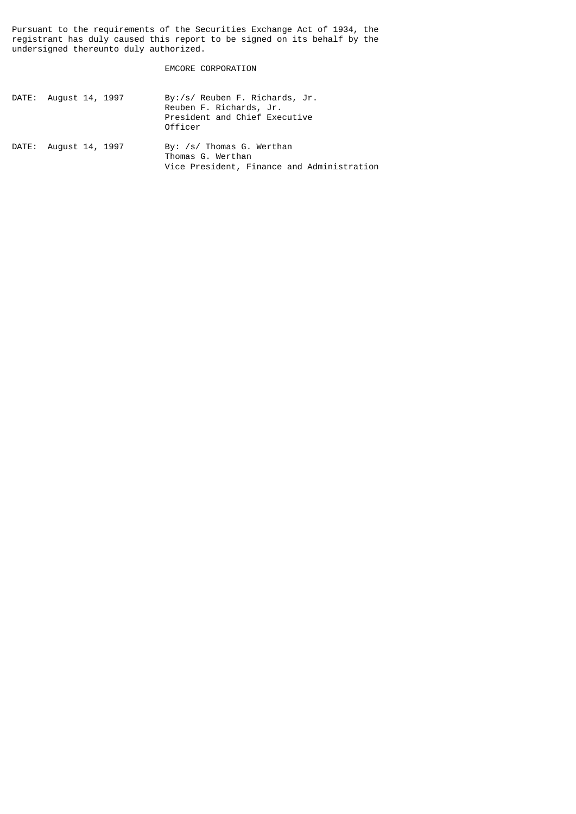Pursuant to the requirements of the Securities Exchange Act of 1934, the registrant has duly caused this report to be signed on its behalf by the undersigned thereunto duly authorized.

EMCORE CORPORATION

| DATE: August 14, 1997 | By:/s/ Reuben F. Richards, Jr.<br>Reuben F. Richards, Jr.<br>President and Chief Executive<br>Officer |
|-----------------------|-------------------------------------------------------------------------------------------------------|
| DATE: August 14, 1997 | By: /s/ Thomas G. Werthan<br>Thomas G. Werthan<br>Vice President, Finance and Administration          |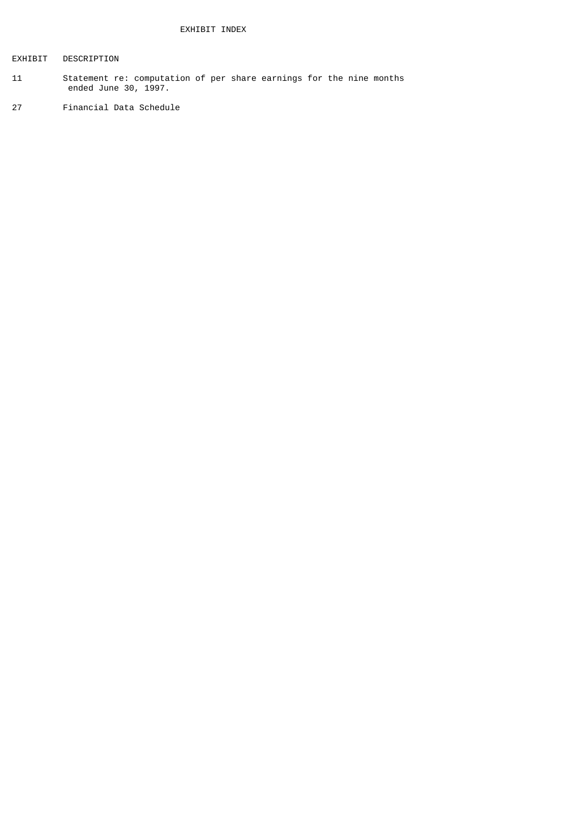# EXHIBIT DESCRIPTION

- 11 Statement re: computation of per share earnings for the nine months ended June 30, 1997.
- 27 Financial Data Schedule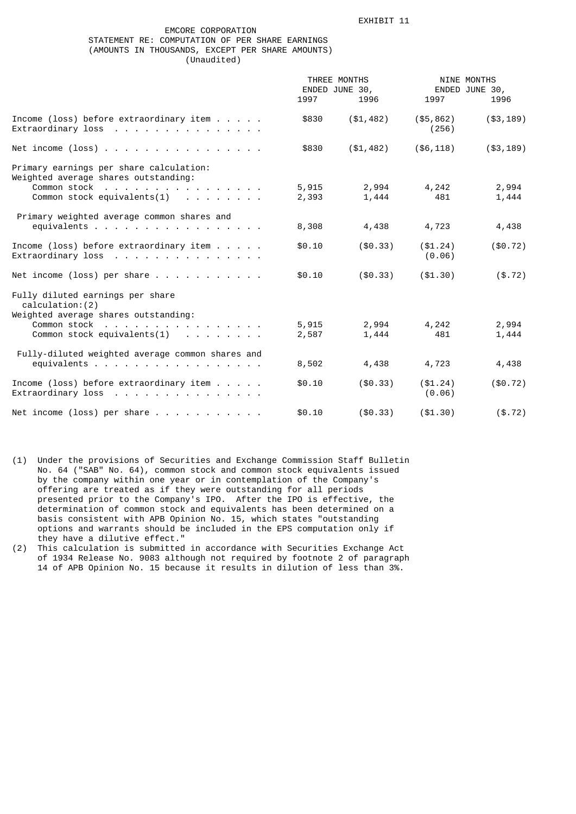# EMCORE CORPORATION STATEMENT RE: COMPUTATION OF PER SHARE EARNINGS (AMOUNTS IN THOUSANDS, EXCEPT PER SHARE AMOUNTS) (Unaudited)

|                                                                                                                                   | THREE MONTHS<br>ENDED JUNE 30, |                | NINE MONTHS<br>ENDED JUNE 30, |                |
|-----------------------------------------------------------------------------------------------------------------------------------|--------------------------------|----------------|-------------------------------|----------------|
|                                                                                                                                   | 1997                           | 1996           | 1997                          | 1996           |
| Income (loss) before extraordinary item $\ldots$ .<br>Extraordinary loss                                                          | \$830                          | ( \$1,482)     | (\$5, 862)<br>(256)           | $(*3, 189)$    |
| Net income $(\text{loss})$                                                                                                        | \$830                          | (\$1,482)      | ( \$6, 118)                   | $(*3, 189)$    |
| Primary earnings per share calculation:<br>Weighted average shares outstanding:<br>Common stock<br>Common stock equivalents $(1)$ | 5,915<br>2,393                 | 2,994<br>1,444 | 4,242<br>481                  | 2,994<br>1,444 |
| Primary weighted average common shares and<br>equivalents                                                                         | 8,308                          | 4,438          | 4,723                         | 4,438          |
| Income (loss) before extraordinary item $\ldots$ .<br>Extraordinary loss                                                          | \$0.10                         | ( \$0.33)      | ( \$1.24)<br>(0.06)           | ( \$0.72)      |
| Net income (loss) per share $\ldots$                                                                                              | \$0.10                         | (\$0.33)       | ( \$1.30)                     | ( \$.72)       |
| Fully diluted earnings per share<br>calculation: (2)<br>Weighted average shares outstanding:                                      |                                |                |                               |                |
| Common stock<br>Common stock equivalents $(1)$                                                                                    | 5,915<br>2,587                 | 2,994<br>1,444 | 4,242<br>481                  | 2,994<br>1,444 |
| Fully-diluted weighted average common shares and<br>equivalents                                                                   | 8,502                          | 4,438          | 4,723                         | 4,438          |
| Income (loss) before extraordinary item $\ldots$ .<br>Extraordinary loss                                                          | \$0.10                         | (\$0.33)       | ( \$1.24)<br>(0.06)           | (\$0.72)       |
| Net income (loss) per share $\ldots$                                                                                              | \$0.10                         | ( \$0.33)      | ( \$1.30)                     | $(*.72)$       |

(1) Under the provisions of Securities and Exchange Commission Staff Bulletin No. 64 ("SAB" No. 64), common stock and common stock equivalents issued by the company within one year or in contemplation of the Company's offering are treated as if they were outstanding for all periods presented prior to the Company's IPO. After the IPO is effective, the determination of common stock and equivalents has been determined on a basis consistent with APB Opinion No. 15, which states "outstanding options and warrants should be included in the EPS computation only if they have a dilutive effect."

(2) This calculation is submitted in accordance with Securities Exchange Act of 1934 Release No. 9083 although not required by footnote 2 of paragraph 14 of APB Opinion No. 15 because it results in dilution of less than 3%.